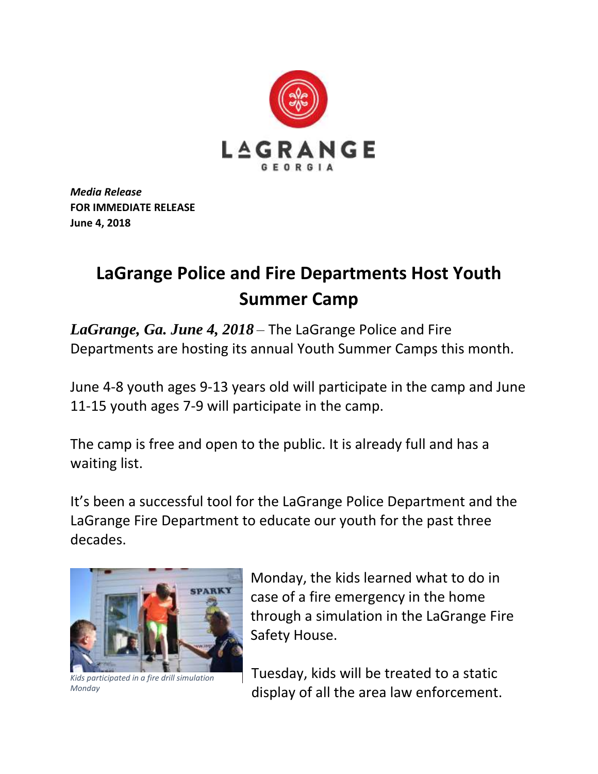

*Media Release* **FOR IMMEDIATE RELEASE June 4, 2018**

## **LaGrange Police and Fire Departments Host Youth Summer Camp**

*LaGrange, Ga. June 4, 2018* – The LaGrange Police and Fire Departments are hosting its annual Youth Summer Camps this month.

June 4-8 youth ages 9-13 years old will participate in the camp and June 11-15 youth ages 7-9 will participate in the camp.

The camp is free and open to the public. It is already full and has a waiting list.

It's been a successful tool for the LaGrange Police Department and the LaGrange Fire Department to educate our youth for the past three decades.



*Kids participated in a fire drill simulation Monday*

Monday, the kids learned what to do in case of a fire emergency in the home through a simulation in the LaGrange Fire Safety House.

Tuesday, kids will be treated to a static display of all the area law enforcement.